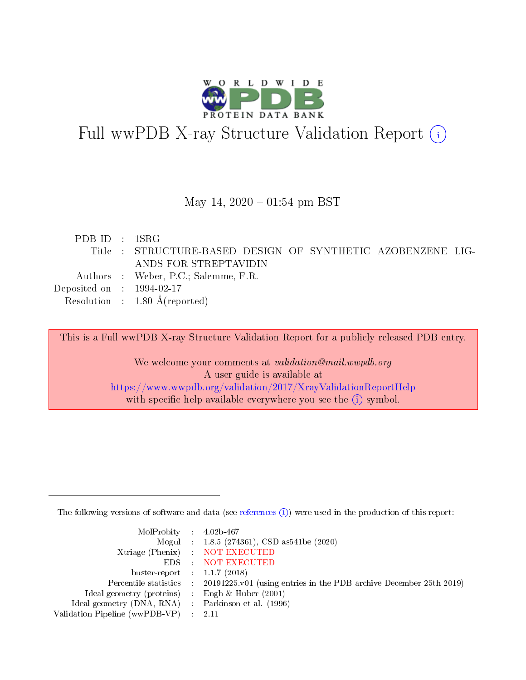

# Full wwPDB X-ray Structure Validation Report (i)

#### May 14,  $2020 - 01:54$  pm BST

| PDB ID : 1SRG                        |                                                             |
|--------------------------------------|-------------------------------------------------------------|
|                                      | Title : STRUCTURE-BASED DESIGN OF SYNTHETIC AZOBENZENE LIG- |
|                                      | ANDS FOR STREPTAVIDIN                                       |
|                                      | Authors : Weber, P.C.; Salemme, F.R.                        |
| Deposited on $\therefore$ 1994-02-17 |                                                             |
|                                      | Resolution : $1.80 \text{ Å}$ (reported)                    |

This is a Full wwPDB X-ray Structure Validation Report for a publicly released PDB entry.

We welcome your comments at validation@mail.wwpdb.org A user guide is available at <https://www.wwpdb.org/validation/2017/XrayValidationReportHelp> with specific help available everywhere you see the  $(i)$  symbol.

The following versions of software and data (see [references](https://www.wwpdb.org/validation/2017/XrayValidationReportHelp#references)  $(i)$ ) were used in the production of this report:

| MolProbity : $4.02b-467$                            |                                                                                            |
|-----------------------------------------------------|--------------------------------------------------------------------------------------------|
|                                                     | Mogul : $1.8.5$ (274361), CSD as 541be (2020)                                              |
|                                                     | Xtriage (Phenix) NOT EXECUTED                                                              |
|                                                     | EDS : NOT EXECUTED                                                                         |
| buster-report : $1.1.7(2018)$                       |                                                                                            |
|                                                     | Percentile statistics : 20191225.v01 (using entries in the PDB archive December 25th 2019) |
| Ideal geometry (proteins) : Engh $\&$ Huber (2001)  |                                                                                            |
| Ideal geometry (DNA, RNA) : Parkinson et al. (1996) |                                                                                            |
| Validation Pipeline (wwPDB-VP) : 2.11               |                                                                                            |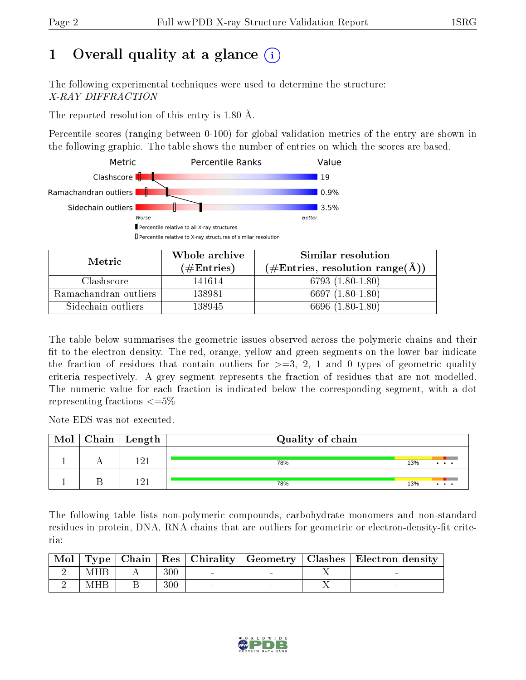# 1 [O](https://www.wwpdb.org/validation/2017/XrayValidationReportHelp#overall_quality)verall quality at a glance  $(i)$

The following experimental techniques were used to determine the structure: X-RAY DIFFRACTION

The reported resolution of this entry is 1.80 Å.

Percentile scores (ranging between 0-100) for global validation metrics of the entry are shown in the following graphic. The table shows the number of entries on which the scores are based.



| Metric                | Whole archive<br>(# $\rm{Entries}$ ) | Similar resolution<br>$(\#\text{Entries}, \text{resolution range}(\text{\AA})$ |  |  |
|-----------------------|--------------------------------------|--------------------------------------------------------------------------------|--|--|
| Clashscore            | 141614                               | $6793(1.80-1.80)$                                                              |  |  |
| Ramachandran outliers | 138981                               | 6697 $(1.80-1.80)$                                                             |  |  |
| Sidechain outliers    | 138945                               | $(1.80 - 1.80)$<br>6696 (                                                      |  |  |

The table below summarises the geometric issues observed across the polymeric chains and their fit to the electron density. The red, orange, yellow and green segments on the lower bar indicate the fraction of residues that contain outliers for  $\geq=3$ , 2, 1 and 0 types of geometric quality criteria respectively. A grey segment represents the fraction of residues that are not modelled. The numeric value for each fraction is indicated below the corresponding segment, with a dot representing fractions  $\leq=5\%$ 

Note EDS was not executed.

| Mol | Chain   Length $\frac{1}{2}$ | Quality of chain |     |          |
|-----|------------------------------|------------------|-----|----------|
|     | 1 ດ 1                        | 78%              | 13% | $\cdots$ |
|     | 1 ດ 1                        | 78%              | 13% | $\cdots$ |

The following table lists non-polymeric compounds, carbohydrate monomers and non-standard residues in protein, DNA, RNA chains that are outliers for geometric or electron-density-fit criteria:

| Mol |     |         |  | Type   Chain   Res   Chirality   Geometry   Clashes   Electron density |
|-----|-----|---------|--|------------------------------------------------------------------------|
|     | MHB | 300     |  |                                                                        |
|     | MHB | $300\,$ |  |                                                                        |

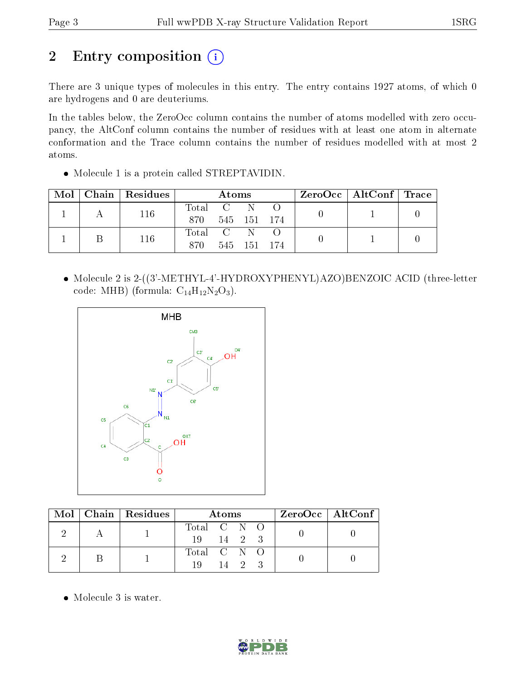# 2 Entry composition (i)

There are 3 unique types of molecules in this entry. The entry contains 1927 atoms, of which 0 are hydrogens and 0 are deuteriums.

In the tables below, the ZeroOcc column contains the number of atoms modelled with zero occupancy, the AltConf column contains the number of residues with at least one atom in alternate conformation and the Trace column contains the number of residues modelled with at most 2 atoms.

• Molecule 1 is a protein called STREPTAVIDIN.

| Mol |     | $\mid$ Chain   Residues | Atoms     |             |       | $ZeroOcc \mid AltConf \mid Trace$ |  |  |
|-----|-----|-------------------------|-----------|-------------|-------|-----------------------------------|--|--|
|     |     | 116                     | Total C N |             |       |                                   |  |  |
|     |     | 870                     |           | 545 151 174 |       |                                   |  |  |
|     |     |                         | Total C   |             | N     |                                   |  |  |
|     | 116 | 870                     |           | 545 151     | - 174 |                                   |  |  |

 Molecule 2 is 2-((3'-METHYL-4'-HYDROXYPHENYL)AZO)BENZOIC ACID (three-letter code: MHB) (formula:  $C_{14}H_{12}N_2O_3$ ).



|  | $\text{Mol}$   Chain   Residues | Atoms       |                      |  | ZeroOcc   AltConf |  |  |
|--|---------------------------------|-------------|----------------------|--|-------------------|--|--|
|  |                                 | Total C N O |                      |  |                   |  |  |
|  |                                 | 19          | $14 \quad 2 \quad 3$ |  |                   |  |  |
|  |                                 | Total C N O |                      |  |                   |  |  |
|  |                                 | 10          | $14 \quad 2$         |  |                   |  |  |

• Molecule 3 is water.

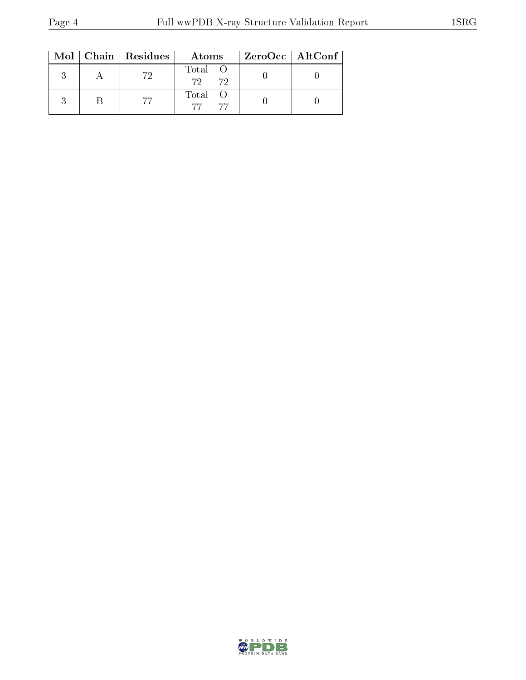|  | $Mol$   Chain   Residues | Atoms                    | ZeroOcc   AltConf |  |
|--|--------------------------|--------------------------|-------------------|--|
|  | 79                       | Total O<br>$-72$<br>- 72 |                   |  |
|  |                          | Total O<br>-77           |                   |  |

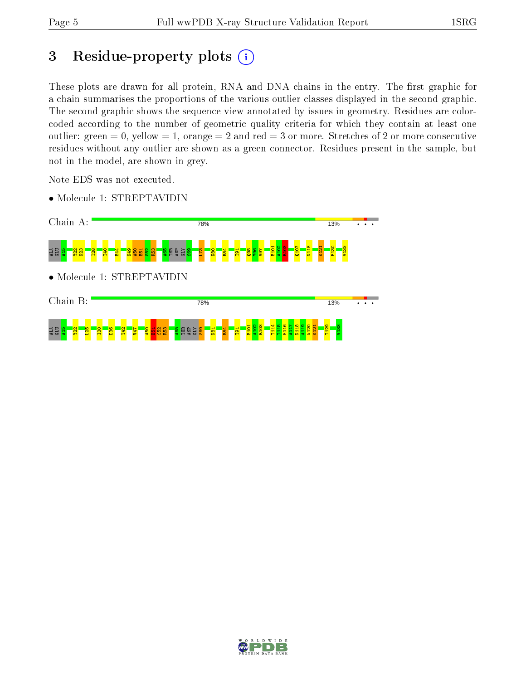# 3 Residue-property plots  $(i)$

These plots are drawn for all protein, RNA and DNA chains in the entry. The first graphic for a chain summarises the proportions of the various outlier classes displayed in the second graphic. The second graphic shows the sequence view annotated by issues in geometry. Residues are colorcoded according to the number of geometric quality criteria for which they contain at least one outlier: green  $= 0$ , yellow  $= 1$ , orange  $= 2$  and red  $= 3$  or more. Stretches of 2 or more consecutive residues without any outlier are shown as a green connector. Residues present in the sample, but not in the model, are shown in grey.

Note EDS was not executed.

• Molecule 1: STREPTAVIDIN



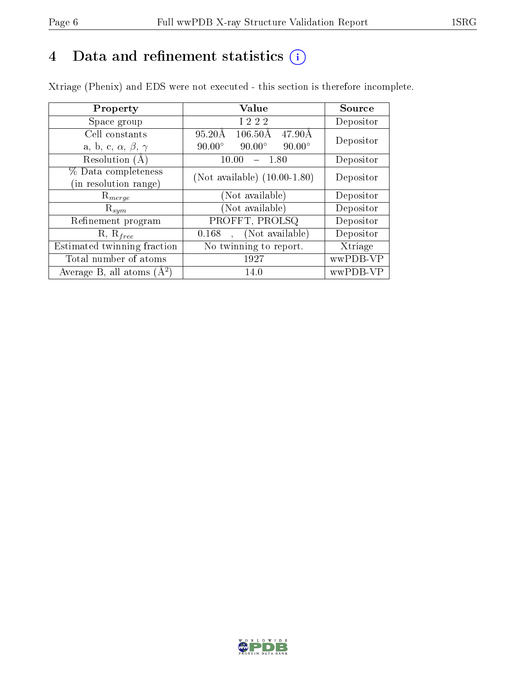# 4 Data and refinement statistics  $(i)$

Xtriage (Phenix) and EDS were not executed - this section is therefore incomplete.

| Property                               | <b>Value</b>                                          | Source    |  |
|----------------------------------------|-------------------------------------------------------|-----------|--|
| Space group                            | I 2 2 2                                               | Depositor |  |
| Cell constants                         | 95.20Å<br>$47.90\text{\AA}$<br>$106.50\text{\AA}$     | Depositor |  |
| a, b, c, $\alpha$ , $\beta$ , $\gamma$ | $90.00^\circ$<br>$90.00^\circ$<br>$90.00^\circ$       |           |  |
| Resolution $(A)$                       | 10.00<br>1.80                                         | Depositor |  |
| % Data completeness                    | (Not available) $(10.00-1.80)$                        | Depositor |  |
| (in resolution range)                  |                                                       |           |  |
| $\mathrm{R}_{merge}$                   | (Not available)                                       | Depositor |  |
| $\mathrm{R}_{sym}$                     | (Not available)                                       | Depositor |  |
| Refinement program                     | PROFFT, PROLSQ                                        | Depositor |  |
| $R, R_{free}$                          | (Not available)<br>0.168<br>$\mathbf{A}^{\text{max}}$ | Depositor |  |
| Estimated twinning fraction            | No twinning to report.                                | Xtriage   |  |
| Total number of atoms                  | 1927                                                  | wwPDB-VP  |  |
| Average B, all atoms $(A^2)$           | 14.0                                                  | wwPDB-VP  |  |

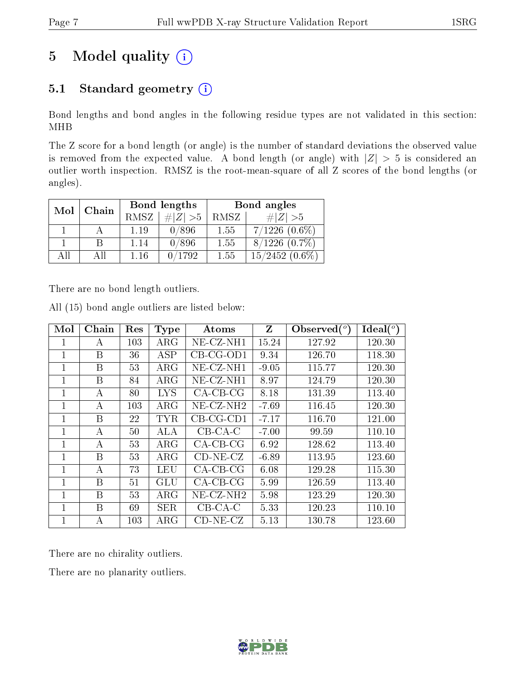)

# 5 Model quality  $(i)$

## 5.1 Standard geometry  $(i)$

Bond lengths and bond angles in the following residue types are not validated in this section: MHB

The Z score for a bond length (or angle) is the number of standard deviations the observed value is removed from the expected value. A bond length (or angle) with  $|Z| > 5$  is considered an outlier worth inspection. RMSZ is the root-mean-square of all Z scores of the bond lengths (or angles).

| Mol | Chain |      | Bond lengths | Bond angles |                    |  |
|-----|-------|------|--------------|-------------|--------------------|--|
|     |       | RMSZ | # $ Z >5$    | RMSZ        | # $ Z  > 5$        |  |
|     |       | 1.19 | 0/896        | 1.55        | $7/1226$ $(0.6\%)$ |  |
|     | B     | 1.14 | 0/896        | 1.55        | $8/1226$ $(0.7\%)$ |  |
| AII | All   | 1.16 | 0/1792       | 1.55        | $15/2452(0.6\%)$   |  |

There are no bond length outliers.

| Mol          | Chain | Res | <b>Type</b> | Atoms                    | $Z_{\rm}$ | Observed $(°)$ | Ideal $($ <sup>o</sup> |
|--------------|-------|-----|-------------|--------------------------|-----------|----------------|------------------------|
| 1            | А     | 103 | $\rm{ARG}$  | $NE$ -CZ-NH1             | 15.24     | 127.92         | 120.30                 |
| $\mathbf{1}$ | Β     | 36  | ASP         | $CB-CG-OD1$              | 9.34      | 126.70         | 118.30                 |
| 1            | Β     | 53  | ${\rm ARG}$ | NE-CZ-NH1                | $-9.05$   | 115.77         | 120.30                 |
| 1            | B     | 84  | $\rm{ARG}$  | NE-CZ-NH1                | 8.97      | 124.79         | 120.30                 |
| 1            | А     | 80  | <b>LYS</b>  | $CA-CB-CG$               | 8.18      | 131.39         | 113.40                 |
| $\mathbf{1}$ | А     | 103 | $\rm{ARG}$  | $NE$ -CZ-NH <sub>2</sub> | $-7.69$   | 116.45         | 120.30                 |
| 1            | B     | 22  | <b>TYR</b>  | $CB-CG-CD1$              | $-7.17$   | 116.70         | 121.00                 |
| $\mathbf{1}$ | А     | 50  | <b>ALA</b>  | $CB-CA-C$                | $-7.00$   | 99.59          | 110.10                 |
| $\mathbf{1}$ | А     | 53  | $\rm{ARG}$  | $CA-CB-CG$               | 6.92      | 128.62         | 113.40                 |
| 1            | Β     | 53  | $\rm{ARG}$  | $CD-NE- CZ$              | $-6.89$   | 113.95         | 123.60                 |
| $\mathbf{1}$ | А     | 73  | LEU         | $CA-CB-CG$               | 6.08      | 129.28         | 115.30                 |
| $\mathbf{1}$ | Β     | 51  | GLU         | $CA-CB-CG$               | 5.99      | 126.59         | 113.40                 |
| 1            | В     | 53  | ${\rm ARG}$ | NE-CZ-NH2                | 5.98      | 123.29         | 120.30                 |
| 1            | В     | 69  | SER         | $CB-CA-C$                | 5.33      | 120.23         | 110.10                 |
| 1            | А     | 103 | ${\rm ARG}$ | $CD-NE- CZ$              | 5.13      | 130.78         | 123.60                 |

All (15) bond angle outliers are listed below:

There are no chirality outliers.

There are no planarity outliers.

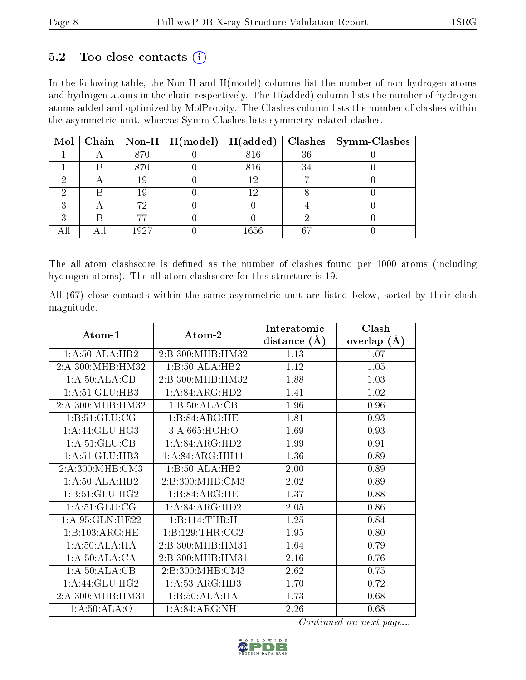## $5.2$  Too-close contacts  $(i)$

In the following table, the Non-H and H(model) columns list the number of non-hydrogen atoms and hydrogen atoms in the chain respectively. The H(added) column lists the number of hydrogen atoms added and optimized by MolProbity. The Clashes column lists the number of clashes within the asymmetric unit, whereas Symm-Clashes lists symmetry related clashes.

|  |      |      |    | Mol   Chain   Non-H   H(model)   H(added)   Clashes   Symm-Clashes |
|--|------|------|----|--------------------------------------------------------------------|
|  | 870  | 816  | 36 |                                                                    |
|  | 870  | 816  | 34 |                                                                    |
|  |      | 12   |    |                                                                    |
|  |      | 1 ດ  |    |                                                                    |
|  | 79   |      |    |                                                                    |
|  |      |      |    |                                                                    |
|  | 1927 | 1656 | 67 |                                                                    |

The all-atom clashscore is defined as the number of clashes found per 1000 atoms (including hydrogen atoms). The all-atom clashscore for this structure is 19.

All (67) close contacts within the same asymmetric unit are listed below, sorted by their clash magnitude.

|                                       |                     | Interatomic    | Clash         |
|---------------------------------------|---------------------|----------------|---------------|
| $\boldsymbol{\mathrm{Atom}\text{-}1}$ | Atom-2              | distance $(A)$ | overlap $(A)$ |
| 1:A:50:ALA:HB2                        | 2:B:300:MHB:HM32    | 1.13           | 1.07          |
| 2:A:300:MHB:HM32                      | 1:B:50:ALA:HB2      | 1.12           | 1.05          |
| 1:A:50:ALA:CB                         | 2:B:300:MHB:HM32    | 1.88           | 1.03          |
| 1: A:51: GLU:HB3                      | 1: A:84: ARG:HD2    | 1.41           | 1.02          |
| 2:A:300:MHB:HM32                      | 1:B:50:ALA:CB       | 1.96           | 0.96          |
| 1: B:51: GLU: CG                      | 1:B:84:ARG:HE       | 1.81           | 0.93          |
| 1: A:44: GLU:HG3                      | 3: A:665:HOH:O      | 1.69           | 0.93          |
| 1: A:51: GLU:CB                       | 1: A:84: ARG:HD2    | 1.99           | 0.91          |
| 1: A:51: GLU:HB3                      | 1:A:84:ARG:HH11     | 1.36           | 0.89          |
| 2: A:300:MHB:CM3                      | 1:B:50:ALA:HB2      | 2.00           | 0.89          |
| 1:A:50:ALA:HB2                        | 2:B:300:MHB:CM3     | 2.02           | 0.89          |
| 1:B:51:GLU:HG2                        | 1:B:84:ARG:HE       | 1.37           | 0.88          |
| 1: A:51: GLU:CG                       | 1: A:84: ARG:HD2    | 2.05           | 0.86          |
| 1:A:95:GLN:HE22                       | 1:B:114:THR:H       | 1.25           | 0.84          |
| 1:B:103:ARG:HE                        | 1: B: 129: THR: CG2 | 1.95           | 0.80          |
| 1:A:50:ALA:HA                         | 2:B:300:MHB:HM31    | 1.64           | 0.79          |
| 1: A:50: ALA:CA                       | 2:B:300:MHB:HM31    | 2.16           | 0.76          |
| 1:A:50:ALA:CB                         | 2:B:300:MHB:CM3     | 2.62           | 0.75          |
| 1:A:44:GLU:HG2                        | 1: A: 53: ARG: HB3  | 1.70           | 0.72          |
| 2:A:300:MHB:HM31                      | 1:B:50:ALA:HA       | 1.73           | 0.68          |
| 1: A:50: ALA:O                        | 1: A:84: ARG:NH1    | 2.26           | 0.68          |

Continued on next page...

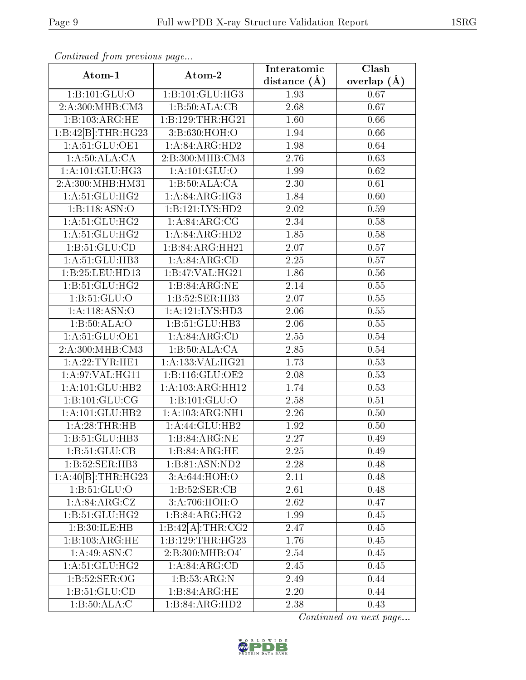| $\mathbf{v}$ and $\mathbf{v}$<br>Atom-1 | Atom-2                        | Interatomic      | Clash         |
|-----------------------------------------|-------------------------------|------------------|---------------|
|                                         |                               | distance $(\AA)$ | overlap $(A)$ |
| 1:B:101:GLU:O                           | 1:B:101:GLU:HG3               | 1.93             | 0.67          |
| 2: A:300:MHB:CM3                        | $1:B:50:ALA:\overline{CB}$    | 2.68             | 0.67          |
| 1:B:103:ARG:HE                          | 1:B:129:THR:HG21              | 1.60             | 0.66          |
| 1:B:42[B]:THR:HG23                      | 3:B:630:HOH:O                 | 1.94             | 0.66          |
| 1:A:51:GLU:OE1                          | $1:A:84:A\overline{RG:HD2}$   | 1.98             | 0.64          |
| 1: A:50: ALA:CA                         | 2:B:300:MHB:CM3               | 2.76             | 0.63          |
| 1:A:101:GLU:HG3                         | 1: A: 101: GLU:O              | 1.99             | 0.62          |
| 2:A:300:MHB:HM31                        | 1:B:50:ALA:CA                 | 2.30             | 0.61          |
| 1: A:51: GLU: HG2                       | 1: A:84: ARG:HG3              | 1.84             | 0.60          |
| 1:B:118:ASN:O                           | 1:B:121:LYS:HD2               | 2.02             | 0.59          |
| 1: A:51: GLU: HG2                       | 1: A:84: ARG:CG               | 2.34             | 0.58          |
| 1: A:51: GLU: HG2                       | 1:A:84:ARG:HD2                | 1.85             | $0.58\,$      |
| 1:B:51:GLU:CD                           | 1:B:84:ARG:HH21               | 2.07             | 0.57          |
| 1: A:51: GLU:HB3                        | 1:A:84:ARG:CD                 | 2.25             | 0.57          |
| 1:B:25:LEU:HD13                         | 1:B:47:VAL:H G21              | 1.86             | 0.56          |
| 1:B:51:GLU:HG2                          | 1:B:84:ARG:NE                 | 2.14             | 0.55          |
| 1: B: 51: GLU: O                        | 1:B:52:SER:HB3                | 2.07             | 0.55          |
| 1: A: 118: ASN: O                       | 1:A:121:LYS:HD3               | 2.06             | 0.55          |
| 1:B:50:ALA:O                            | 1:B:51:GLU:HB3                | 2.06             | 0.55          |
| 1:A:51:GLU:OE1                          | 1:A:84:ARG:CD                 | 2.55             | 0.54          |
| 2:A:300:MHB:CM3                         | 1:B:50:ALA:CA                 | 2.85             | 0.54          |
| 1:A:22:TYR:HE1                          | 1:A:133:VAL:HG21              | 1.73             | 0.53          |
| 1: A:97: VAL:HGI1                       | 1:B:116:GLU:OE2               | 2.08             | 0.53          |
| 1: A:101: GLU:HB2                       | $1:A:103:A\overline{RG:HH12}$ | 1.74             | 0.53          |
| 1:B:101:GLU:CG                          | 1:B:101:GLU:O                 | 2.58             | 0.51          |
| 1:A:101:GLU:HB2                         | 1: A: 103: ARG: NH1           | $2.26\,$         | 0.50          |
| 1: A:28:THR:HB                          | 1:A:44:GLU:HB2                | 1.92             | 0.50          |
| 1:B:51:GLU:HB3                          | 1:B:84:ARG:NE                 | 2.27             | 0.49          |
| 1: B: 51: GLU: CB                       | 1:B:84:ARG:HE                 | 2.25             | 0.49          |
| 1:B:52:SER:HB3                          | 1:B:81:ASN:ND2                | 2.28             | 0.48          |
| 1:A:40[B]:THR:HG23                      | 3:A:644:HOH:O                 | 2.11             | 0.48          |
| 1: B: 51: GLU: O                        | 1:B:52:SER:CB                 | 2.61             | 0.48          |
| 1:A:84:ARG:CZ                           | 3:A:706:HOH:O                 | 2.62             | 0.47          |
| 1:B:51:GLU:HG2                          | 1:B:84:ARG:HG2                | 1.99             | 0.45          |
| 1:B:30:ILE:HB                           | 1:B:42[A]:THR:CG2             | 2.47             | 0.45          |
| 1:B:103:ARG:HE                          | 1:B:129:THR:HG23              | 1.76             | 0.45          |
| 1:A:49:ASN:C                            | 2:B:300:MHB:O4'               | 2.54             | 0.45          |
| 1: A:51: GLU: HG2                       | 1: A:84: ARG:CD               | 2.45             | 0.45          |
| 1: B:52: SER:OG                         | 1: B: 53: ARG: N              | 2.49             | 0.44          |
| 1: B:51: GLU:CD                         | 1:B:84:ARG:HE                 | 2.20             | 0.44          |
| $1:B:50:\overline{\mathrm{ALA:C}}$      | 1:B:84:ARG:HD2                | 2.38             | 0.43          |

Continued from previous page...

Continued on next page...

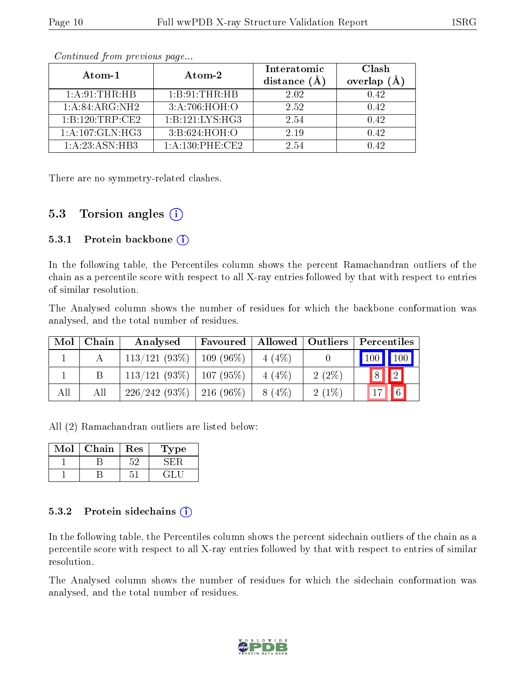| Atom-1              | Atom-2                           | Interatomic<br>distance $(\AA)$ | Clash<br>overlap $(A)$ |
|---------------------|----------------------------------|---------------------------------|------------------------|
| 1: A:91:THR:HB      | 1:B:91:THR:HB                    | 2.02                            | 0.42                   |
| 1:A:84:ARG:NH2      | 3:A:706:HOH:O                    | 2.52                            | 0.42                   |
| 1:B:120:TRP:CE2     | 1:B:121:LYS:HG3                  | 2.54                            | 0.42                   |
| 1: A: 107: GLN: HG3 | 3:B:624:HOH:O                    | 2.19                            | 0.42                   |
| 1:A:23:ASN:HB3      | $1: A: 130: PHE: \overline{CE2}$ | 2.54                            | 0.42                   |

Continued from previous page...

There are no symmetry-related clashes.

## 5.3 Torsion angles  $(i)$

#### 5.3.1 Protein backbone  $(i)$

In the following table, the Percentiles column shows the percent Ramachandran outliers of the chain as a percentile score with respect to all X-ray entries followed by that with respect to entries of similar resolution.

The Analysed column shows the number of residues for which the backbone conformation was analysed, and the total number of residues.

| Mol | Chain | Analysed        | Favoured     | Allowed  | <b>Outliers</b> | Percentiles     |
|-----|-------|-----------------|--------------|----------|-----------------|-----------------|
|     |       | $113/121(93\%)$ | $109(96\%)$  | 4(4%)    |                 | 100 100         |
|     |       | $113/121(93\%)$ | $107(95\%)$  | 4(4%)    | $2(2\%)$        | $\boxed{2}$     |
| All | Аll   | 226/242(93%)    | $1216(96\%)$ | $8(4\%)$ | $2(1\%)$        | $6\phantom{.}6$ |

All (2) Ramachandran outliers are listed below:

| Vi∩l | Chain | Res  | 1 ype |
|------|-------|------|-------|
|      |       | -59. |       |
|      |       |      |       |

#### 5.3.2 Protein sidechains (i)

In the following table, the Percentiles column shows the percent sidechain outliers of the chain as a percentile score with respect to all X-ray entries followed by that with respect to entries of similar resolution.

The Analysed column shows the number of residues for which the sidechain conformation was analysed, and the total number of residues.

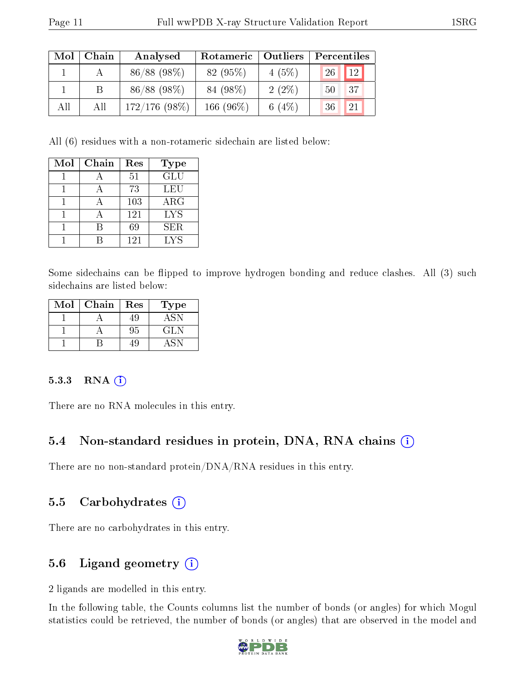| Mol | Chain | $\vert$ Outliers<br>Analysed<br>Rotameric |              |          | Percentiles |  |  |
|-----|-------|-------------------------------------------|--------------|----------|-------------|--|--|
|     |       | $86/88$ (98%)                             | 82 (95\%)    | 4(5%)    | 12<br>26    |  |  |
|     |       | 86/88 (98%)                               | 84 (98\%)    | $2(2\%)$ | 37<br>50    |  |  |
| All | Αll   | $172/176$ (98\%)                          | 166 $(96\%)$ | 6 $(4%)$ | 21<br>36    |  |  |

All (6) residues with a non-rotameric sidechain are listed below:

| Mol | Chain | Res | Type       |
|-----|-------|-----|------------|
|     |       | 51  | GLU        |
|     |       | 73  | LEU        |
|     |       | 103 | ARG        |
|     |       | 121 | <b>LYS</b> |
|     | В     | 69  | <b>SER</b> |
|     |       | 121 | <b>LYS</b> |

Some sidechains can be flipped to improve hydrogen bonding and reduce clashes. All (3) such sidechains are listed below:

| Mol | Chain | Res | 'Type |
|-----|-------|-----|-------|
|     |       | 19  |       |
|     |       | 95  | GL N  |
|     |       |     |       |

#### 5.3.3 RNA [O](https://www.wwpdb.org/validation/2017/XrayValidationReportHelp#rna)i

There are no RNA molecules in this entry.

#### 5.4 Non-standard residues in protein, DNA, RNA chains (i)

There are no non-standard protein/DNA/RNA residues in this entry.

#### 5.5 Carbohydrates (i)

There are no carbohydrates in this entry.

### 5.6 Ligand geometry (i)

2 ligands are modelled in this entry.

In the following table, the Counts columns list the number of bonds (or angles) for which Mogul statistics could be retrieved, the number of bonds (or angles) that are observed in the model and

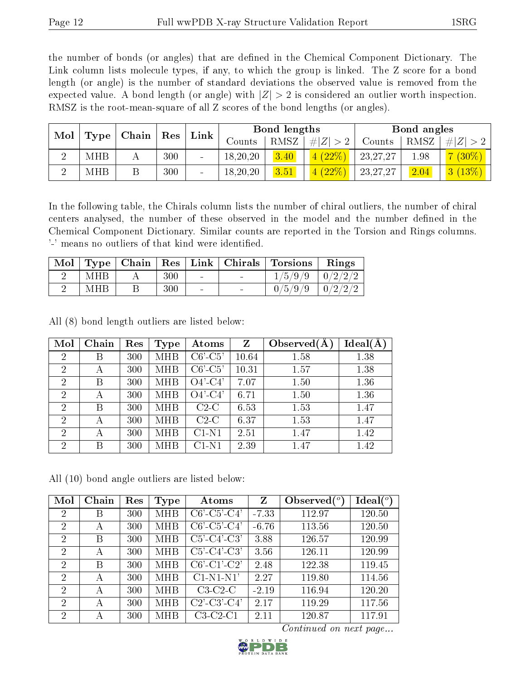the number of bonds (or angles) that are defined in the Chemical Component Dictionary. The Link column lists molecule types, if any, to which the group is linked. The Z score for a bond length (or angle) is the number of standard deviations the observed value is removed from the expected value. A bond length (or angle) with  $|Z| > 2$  is considered an outlier worth inspection. RMSZ is the root-mean-square of all Z scores of the bond lengths (or angles).

| Mol | $\mid$ Chain $\mid$  |  | $\mid$ $\mathop{\mathrm{Res}}$ |  |            |      |             |            |      |        |  |  |  |  | Link |  | Bond lengths |  |  | Bond angles |  |
|-----|----------------------|--|--------------------------------|--|------------|------|-------------|------------|------|--------|--|--|--|--|------|--|--------------|--|--|-------------|--|
|     | $\vert$ Type $\vert$ |  |                                |  | Counts     | RMSZ | # $ Z  > 2$ | Counts     | RMSZ | H Z    |  |  |  |  |      |  |              |  |  |             |  |
|     | <b>MHB</b>           |  | 300                            |  | 18, 20, 20 | 3.40 | 4(22%)      | 23, 27, 27 | 1.98 | 7(30%) |  |  |  |  |      |  |              |  |  |             |  |
|     | MHB                  |  | 300                            |  | 18,20,20   | 3.51 | 4(22%)      | 23, 27, 27 | 2.04 | 3(13%) |  |  |  |  |      |  |              |  |  |             |  |

In the following table, the Chirals column lists the number of chiral outliers, the number of chiral centers analysed, the number of these observed in the model and the number defined in the Chemical Component Dictionary. Similar counts are reported in the Torsion and Rings columns. '-' means no outliers of that kind were identified.

|            |     |        | Mol   Type   Chain   Res   Link   Chirals   Torsions | Rings |
|------------|-----|--------|------------------------------------------------------|-------|
| <b>MHB</b> | 300 |        | $1/5/9/9$   $0/2/2/2$                                |       |
| MHB        | 300 | $\sim$ | $0/5/9/9$   $0/2/2/2$                                |       |

All (8) bond length outliers are listed below:

| Mol            | Chain | Res | Type       | Atoms      | Z     | Observed $(A)$ | $Ideal(\AA)$ |
|----------------|-------|-----|------------|------------|-------|----------------|--------------|
| $\overline{2}$ | Β     | 300 | <b>MHB</b> | $C6'-C5'$  | 10.64 | 1.58           | 1.38         |
| $\overline{2}$ | А     | 300 | <b>MHB</b> | $C6'-C5'$  | 10.31 | 1.57           | 1.38         |
| $\overline{2}$ | Β     | 300 | <b>MHB</b> | $O4'-C4'$  | 7.07  | 1.50           | 1.36         |
| $\overline{2}$ | А     | 300 | <b>MHB</b> | $O4'$ -C4' | 6.71  | 1.50           | 1.36         |
| $\overline{2}$ | В     | 300 | <b>MHB</b> | $C2-C$     | 6.53  | 1.53           | 1.47         |
| $\overline{2}$ | А     | 300 | <b>MHB</b> | $C2-C$     | 6.37  | 1.53           | 1.47         |
| $\overline{2}$ | А     | 300 | <b>MHB</b> | $C1-N1$    | 2.51  | 1.47           | 1.42         |
| $\overline{2}$ | В     | 300 | MHB        | $C1-N1$    | 2.39  | 1.47           | 1.42         |

All (10) bond angle outliers are listed below:

| Mol                         | Chain | Res | Type       | Atoms                 | Z       | Observed $(^\circ)$ | $Ideal(^o)$ |
|-----------------------------|-------|-----|------------|-----------------------|---------|---------------------|-------------|
| $\overline{2}$              | B     | 300 | MHB        | $C6'-C5'-C4'$         | $-7.33$ | 112.97              | 120.50      |
| $\overline{2}$              | А     | 300 | MHB        | $C6'-C5'-C4'$         | $-6.76$ | 113.56              | 120.50      |
| $\overline{2}$              | B     | 300 | MHB        | $C5'-C4'-C3'$         | 3.88    | 126.57              | 120.99      |
| $\overline{2}$              | А     | 300 | MHB        | $C5'-C4'-C3'$         | 3.56    | 126.11              | 120.99      |
| 2                           | B     | 300 | MHB        | $C6'$ - $C1'$ - $C2'$ | 2.48    | 122.38              | 119.45      |
| $\overline{2}$              | А     | 300 | <b>MHB</b> | $C1-N1-N1'$           | 2.27    | 119.80              | 114.56      |
| $\overline{2}$              | А     | 300 | MHB        | $C3-C2-C$             | $-2.19$ | 116.94              | 120.20      |
| $\overline{2}$              | А     | 300 | MHB        | $C2'$ - $C3'$ - $C4'$ | 2.17    | 119.29              | 117.56      |
| $\mathcal{D}_{\mathcal{A}}$ | А     | 300 | <b>MHB</b> | $C3-C2-C1$            | 2.11    | 120.87              | 117.91      |

Continued on next page...

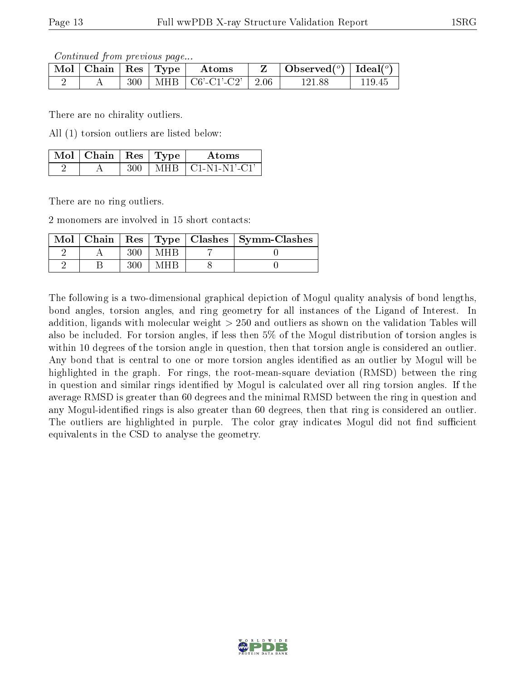Continued from previous page...

| , Mol $\mid$ Chain $\mid$ Res $\mid$ Type $\mid$ |  | Atoms                            | Observed( $^o$ )   Ideal( $^o$ ) |        |
|--------------------------------------------------|--|----------------------------------|----------------------------------|--------|
|                                                  |  | $300$   MHB   C6'-C1'-C2'   2.06 | 121.88                           | 119.45 |

There are no chirality outliers.

All (1) torsion outliers are listed below:

| $\mathbb{N}$ ol $\mid$ Chain $\mid$ Res $\mid$ Type $\mid$ |     | Atoms               |
|------------------------------------------------------------|-----|---------------------|
|                                                            | MHR | $\pm$ C1-N1-N1'-C1' |

There are no ring outliers.

2 monomers are involved in 15 short contacts:

|  |  | Mol   Chain   Res   Type   Clashes   Symm-Clashes |
|--|--|---------------------------------------------------|
|  |  |                                                   |
|  |  |                                                   |

The following is a two-dimensional graphical depiction of Mogul quality analysis of bond lengths, bond angles, torsion angles, and ring geometry for all instances of the Ligand of Interest. In addition, ligands with molecular weight > 250 and outliers as shown on the validation Tables will also be included. For torsion angles, if less then 5% of the Mogul distribution of torsion angles is within 10 degrees of the torsion angle in question, then that torsion angle is considered an outlier. Any bond that is central to one or more torsion angles identified as an outlier by Mogul will be highlighted in the graph. For rings, the root-mean-square deviation (RMSD) between the ring in question and similar rings identified by Mogul is calculated over all ring torsion angles. If the average RMSD is greater than 60 degrees and the minimal RMSD between the ring in question and any Mogul-identified rings is also greater than 60 degrees, then that ring is considered an outlier. The outliers are highlighted in purple. The color gray indicates Mogul did not find sufficient equivalents in the CSD to analyse the geometry.

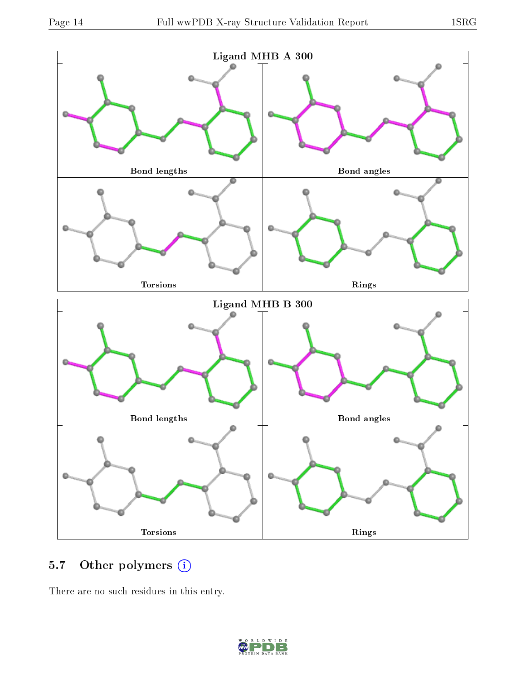

# 5.7 [O](https://www.wwpdb.org/validation/2017/XrayValidationReportHelp#nonstandard_residues_and_ligands)ther polymers (i)

There are no such residues in this entry.

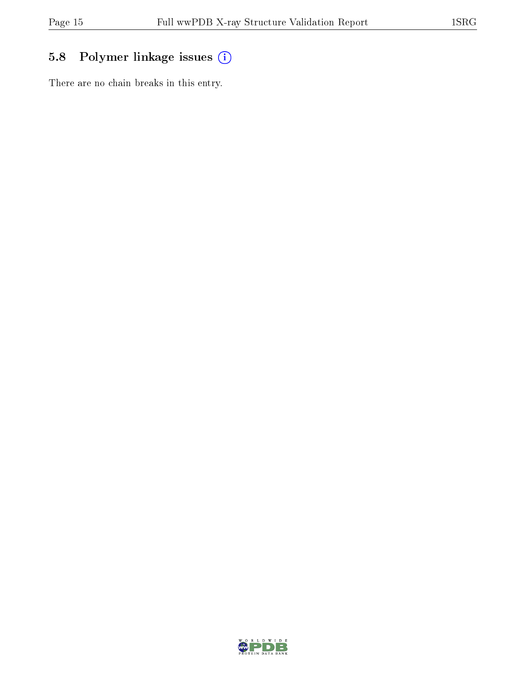# 5.8 Polymer linkage issues (i)

There are no chain breaks in this entry.